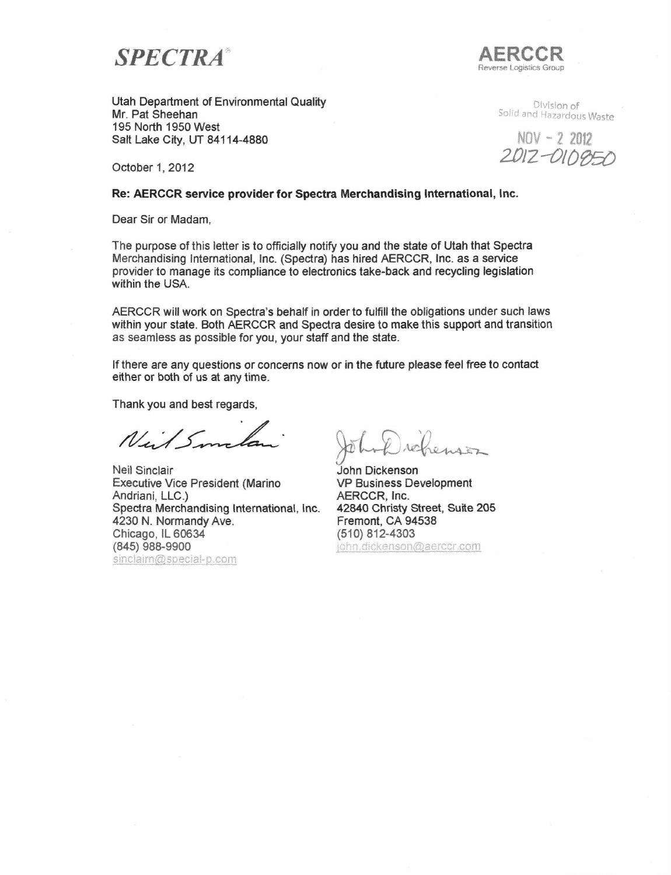$SPECTR A$ 



Utah Department of Environmental Quality Mr, Pat Sheehan 195 North 1950 West Salt Lake City, UT 84114-4880

Division of Solid and Hazardous Waste

 $NOV - 22012$ 2012-010850

October 1, 2012

### Re: AERCCR service provider for Spectra Merchandising International, Inc.

Dear Sir or Madam,

The purpose of this letter is to officially notify you and the state of Utah that Spectra Merchandising International, Inc. (Spectra) has hired AERCCR, Inc. as a service provider to manage its compliance to electronics take-back and recycling legislation within the USA.

AERCCR will work on Spectra's behaif in order to fulfill the obligations under such laws within your state. Both AERCCR and Spectra desire to make this support and transition as seamless as possible for you, your staff and the state.

If there are any questions or concerns now or in the future please feel free to contact either or both of us at any time.

Thank you and best regards,

Niel Smelan

Spectra Merchandising International, Inc. 42840 Christy Street, Suite 205 Neil Sinclair Executive Vice President (Marino Andriani, LLC.) **4230 N. Normandy Ave. Chicago, IL 60634 (845) 988-9900**  sinclaim@special-p.com

John Dickenson VP Business Development AERCCR, Inc. Fremont, CA 94538 (510)812-4303 john.dickenson@aerccr.com